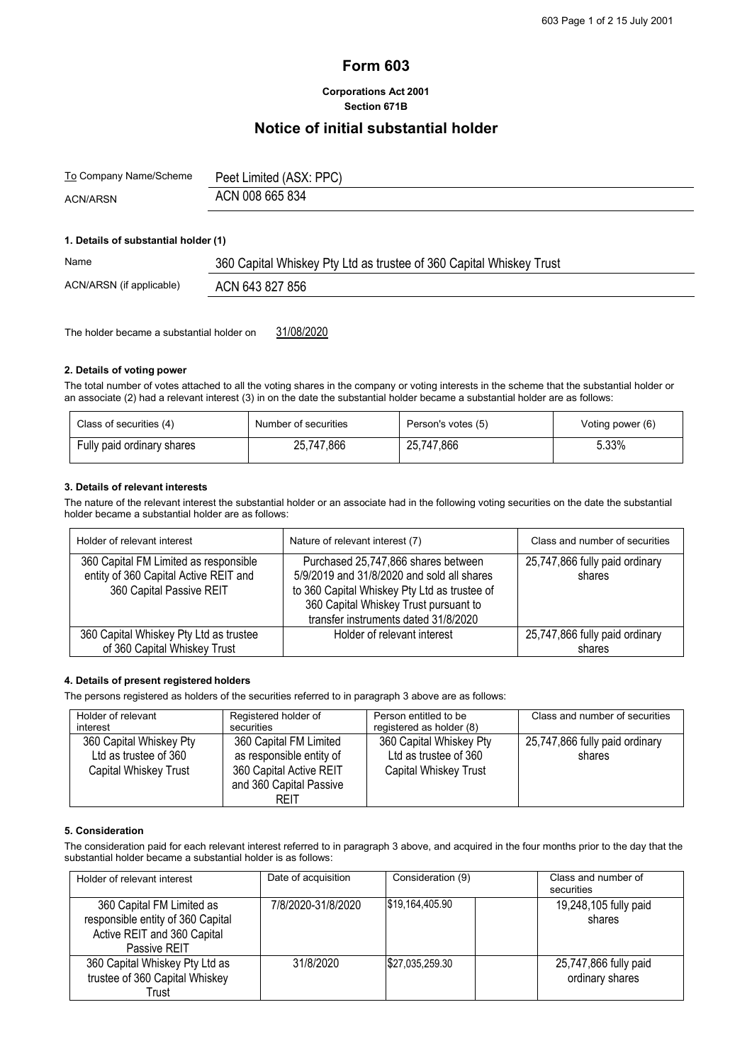# **Form 603**

## **Corporations Act 2001 Section 671B**

## **Notice of initial substantial holder**

| <u>To</u> Company Name/Scheme | Peet Limited (ASX: PPC) |
|-------------------------------|-------------------------|
| <b>ACN/ARSN</b>               | ACN 008 665 834         |

## **1. Details of substantial holder (1)**

| Name                     | 360 Capital Whiskey Pty Ltd as trustee of 360 Capital Whiskey Trust |
|--------------------------|---------------------------------------------------------------------|
| ACN/ARSN (if applicable) | ACN 643 827 856                                                     |

The holder became a substantial holder on 31/08/2020

#### **2. Details of voting power**

The total number of votes attached to all the voting shares in the company or voting interests in the scheme that the substantial holder or an associate (2) had a relevant interest (3) in on the date the substantial holder became a substantial holder are as follows:

| Class of securities (4)    | Number of securities | Person's votes (5) | Voting power (6) |
|----------------------------|----------------------|--------------------|------------------|
| Fully paid ordinary shares | 25,747,866           | 25,747,866         | 5.33%            |

#### **3. Details of relevant interests**

The nature of the relevant interest the substantial holder or an associate had in the following voting securities on the date the substantial holder became a substantial holder are as follows:

| Holder of relevant interest                                                                                | Nature of relevant interest (7)                                                                                                                                                                                    | Class and number of securities           |
|------------------------------------------------------------------------------------------------------------|--------------------------------------------------------------------------------------------------------------------------------------------------------------------------------------------------------------------|------------------------------------------|
| 360 Capital FM Limited as responsible<br>entity of 360 Capital Active REIT and<br>360 Capital Passive REIT | Purchased 25,747,866 shares between<br>5/9/2019 and 31/8/2020 and sold all shares<br>to 360 Capital Whiskey Pty Ltd as trustee of<br>360 Capital Whiskey Trust pursuant to<br>transfer instruments dated 31/8/2020 | 25,747,866 fully paid ordinary<br>shares |
| 360 Capital Whiskey Pty Ltd as trustee                                                                     | Holder of relevant interest                                                                                                                                                                                        | 25,747,866 fully paid ordinary           |
| of 360 Capital Whiskey Trust                                                                               |                                                                                                                                                                                                                    | shares                                   |

#### **4. Details of present registered holders**

The persons registered as holders of the securities referred to in paragraph 3 above are as follows:

| Holder of relevant      | Registered holder of     | Person entitled to be        | Class and number of securities |
|-------------------------|--------------------------|------------------------------|--------------------------------|
| interest                | securities               | registered as holder (8)     |                                |
| 360 Capital Whiskey Pty | 360 Capital FM Limited   | 360 Capital Whiskey Pty      | 25,747,866 fully paid ordinary |
| Ltd as trustee of 360   | as responsible entity of | Ltd as trustee of 360        | shares                         |
| Capital Whiskey Trust   | 360 Capital Active REIT  | <b>Capital Whiskey Trust</b> |                                |
|                         | and 360 Capital Passive  |                              |                                |
|                         | REIT                     |                              |                                |

## **5. Consideration**

The consideration paid for each relevant interest referred to in paragraph 3 above, and acquired in the four months prior to the day that the substantial holder became a substantial holder is as follows:

| Holder of relevant interest                                                                                   | Date of acquisition | Consideration (9) | Class and number of<br>securities        |
|---------------------------------------------------------------------------------------------------------------|---------------------|-------------------|------------------------------------------|
| 360 Capital FM Limited as<br>responsible entity of 360 Capital<br>Active REIT and 360 Capital<br>Passive REIT | 7/8/2020-31/8/2020  | S19.164.405.90    | 19,248,105 fully paid<br>shares          |
| 360 Capital Whiskey Pty Ltd as<br>trustee of 360 Capital Whiskey<br>Trust                                     | 31/8/2020           | \$27,035,259.30   | 25,747,866 fully paid<br>ordinary shares |